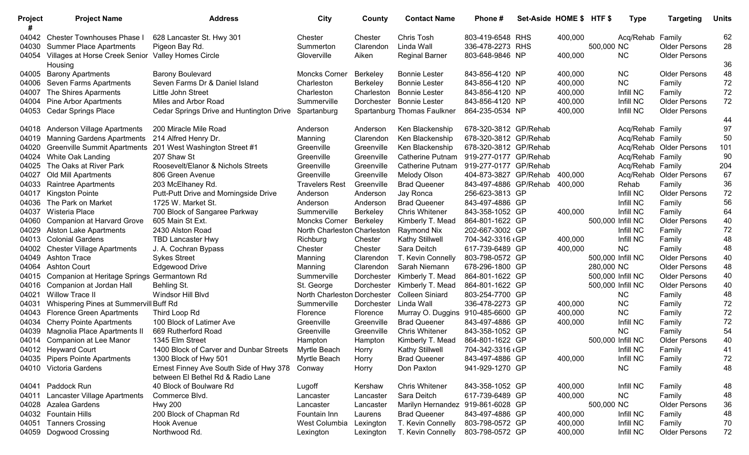| Project | <b>Project Name</b>                                           | <b>Address</b>                           | City                        | County          | <b>Contact Name</b>               | Phone #               | Set-Aside HOME \$ HTF \$ |         |                   | <b>Type</b>      | <b>Targeting</b>        | <b>Units</b> |
|---------|---------------------------------------------------------------|------------------------------------------|-----------------------------|-----------------|-----------------------------------|-----------------------|--------------------------|---------|-------------------|------------------|-------------------------|--------------|
| 04042   | <b>Chester Townhouses Phase I</b>                             | 628 Lancaster St. Hwy 301                | Chester                     | Chester         | Chris Tosh                        | 803-419-6548 RHS      |                          | 400,000 |                   | Acq/Rehab Family |                         | 62           |
| 04030   | <b>Summer Place Apartments</b>                                | Pigeon Bay Rd.                           | Summerton                   | Clarendon       | Linda Wall                        | 336-478-2273 RHS      |                          |         | 500,000 NC        |                  | <b>Older Persons</b>    | 28           |
| 04054   | Villages at Horse Creek Senior Valley Homes Circle<br>Housing |                                          | Gloverville                 | Aiken           | <b>Reginal Barner</b>             | 803-648-9846 NP       |                          | 400,000 |                   | <b>NC</b>        | <b>Older Persons</b>    | 36           |
| 04005   | <b>Barony Apartments</b>                                      | <b>Barony Boulevard</b>                  | <b>Moncks Corner</b>        | Berkeley        | <b>Bonnie Lester</b>              | 843-856-4120 NP       |                          | 400,000 |                   | <b>NC</b>        | <b>Older Persons</b>    | 48           |
| 04006   | Seven Farms Apartments                                        | Seven Farms Dr & Daniel Island           | Charleston                  | Berkeley        | <b>Bonnie Lester</b>              | 843-856-4120 NP       |                          | 400,000 |                   | <b>NC</b>        | Family                  | 72           |
| 04007   | The Shires Aparments                                          | Little John Street                       | Charleston                  | Charleston      | <b>Bonnie Lester</b>              | 843-856-4120 NP       |                          | 400,000 |                   | Infill NC        | Family                  | 72           |
| 04004   | <b>Pine Arbor Apartments</b>                                  | Miles and Arbor Road                     | Summerville                 | Dorchester      | <b>Bonnie Lester</b>              | 843-856-4120 NP       |                          | 400,000 |                   | Infill NC        | <b>Older Persons</b>    | 72           |
| 04053   | <b>Cedar Springs Place</b>                                    | Cedar Springs Drive and Huntington Drive | Spartanburg                 |                 | Spartanburg Thomas Faulkner       | 864-235-0534 NP       |                          | 400,000 |                   | Infill NC        | <b>Older Persons</b>    |              |
|         |                                                               |                                          |                             |                 |                                   |                       |                          |         |                   |                  |                         | 44           |
| 04018   | <b>Anderson Village Apartments</b>                            | 200 Miracle Mile Road                    | Anderson                    | Anderson        | Ken Blackenship                   | 678-320-3812 GP/Rehab |                          |         |                   | Acq/Rehab Family |                         | 97           |
| 04019   | <b>Manning Gardens Apartments</b>                             | 214 Alfred Henry Dr.                     | Manning                     | Clarendon       | Ken Blackenship                   | 678-320-3812 GP/Rehab |                          |         |                   | Acq/Rehab Family |                         | 50           |
| 04020   | <b>Greenville Summit Apartments</b>                           | 201 West Washington Street #1            | Greenville                  | Greenville      | Ken Blackenship                   | 678-320-3812 GP/Rehab |                          |         |                   |                  | Acq/Rehab Older Persons | 101          |
| 04024   | White Oak Landing                                             | 207 Shaw St                              | Greenville                  | Greenville      | <b>Catherine Putnam</b>           | 919-277-0177 GP/Rehab |                          |         |                   | Acq/Rehab Family |                         | 90           |
| 04025   | The Oaks at River Park                                        | Roosevelt/Elanor & Nichols Streets       | Greenville                  | Greenville      | <b>Catherine Putnam</b>           | 919-277-0177 GP/Rehab |                          |         |                   | Acq/Rehab Family |                         | 204          |
| 04027   | Old Mill Apartments                                           | 806 Green Avenue                         | Greenville                  | Greenville      | Melody Olson                      | 404-873-3827 GP/Rehab |                          | 400,000 |                   | Acq/Rehab        | <b>Older Persons</b>    | 67           |
| 04033   | Raintree Apartments                                           | 203 McElhaney Rd.                        | <b>Travelers Rest</b>       | Greenville      | <b>Brad Queener</b>               | 843-497-4886 GP/Rehab |                          | 400,000 |                   | Rehab            | Family                  | 36           |
| 04017   | <b>Kingston Pointe</b>                                        | Putt-Putt Drive and Morningside Drive    | Anderson                    | Anderson        | Jay Ronca                         | 256-623-3813 GP       |                          |         |                   | Infill NC        | <b>Older Persons</b>    | 72           |
| 04036   | The Park on Market                                            | 1725 W. Market St.                       | Anderson                    | Anderson        | <b>Brad Queener</b>               | 843-497-4886 GP       |                          |         |                   | Infill NC        | Family                  | 56           |
| 04037   | Wisteria Place                                                | 700 Block of Sangaree Parkway            | Summerville                 | <b>Berkeley</b> | <b>Chris Whitener</b>             | 843-358-1052 GP       |                          | 400,000 |                   | Infill NC        | Family                  | 64           |
| 04060   | Companion at Harvard Grove                                    | 605 Main St Ext.                         | Moncks Corner               | Berkeley        | Kimberly T. Mead                  | 864-801-1622 GP       |                          |         | 500,000 Infill NC |                  | <b>Older Persons</b>    | 40           |
| 04029   | <b>Alston Lake Apartments</b>                                 | 2430 Alston Road                         | North Charleston Charleston |                 | Raymond Nix                       | 202-667-3002 GP       |                          |         |                   | Infill NC        | Family                  | 72           |
| 04013   | <b>Colonial Gardens</b>                                       | <b>TBD Lancaster Hwy</b>                 | Richburg                    | Chester         | <b>Kathy Stillwell</b>            | 704-342-3316 (GP      |                          | 400,000 |                   | Infill NC        | Family                  | 48           |
| 04002   | <b>Chester Village Apartments</b>                             | J. A. Cochran Bypass                     | Chester                     | Chester         | Sara Deitch                       | 617-739-6489 GP       |                          | 400,000 |                   | <b>NC</b>        | Family                  | 48           |
| 04049   | <b>Ashton Trace</b>                                           | <b>Sykes Street</b>                      | Manning                     | Clarendon       | T. Kevin Connelly                 | 803-798-0572 GP       |                          |         | 500,000 Infill NC |                  | <b>Older Persons</b>    | 40           |
| 04064   | <b>Ashton Court</b>                                           | <b>Edgewood Drive</b>                    | Manning                     | Clarendon       | Sarah Niemann                     | 678-296-1800 GP       |                          |         | 280,000 NC        |                  | <b>Older Persons</b>    | 48           |
| 04015   | Companion at Heritage Springs Germantown Rd                   |                                          | Summerville                 | Dorchester      | Kimberly T. Mead                  | 864-801-1622 GP       |                          |         | 500,000 Infill NC |                  | <b>Older Persons</b>    | 40           |
| 04016   | Companion at Jordan Hall                                      | Behling St.                              | St. George                  | Dorchester      | Kimberly T. Mead                  | 864-801-1622 GP       |                          |         | 500,000 Infill NC |                  | <b>Older Persons</b>    | 40           |
| 04021   | <b>Willow Trace II</b>                                        | Windsor Hill Blvd                        | North Charleston Dorchester |                 | <b>Colleen Siniard</b>            | 803-254-7700 GP       |                          |         |                   | <b>NC</b>        | Family                  | 48           |
| 04031   | Whispering Pines at Summervill Buff Rd                        |                                          | Summerville                 | Dorchester      | Linda Wall                        | 336-478-2273 GP       |                          | 400,000 |                   | <b>NC</b>        | Family                  | 72           |
| 04043   | <b>Florence Green Apartments</b>                              | Third Loop Rd                            | Florence                    | Florence        | Murray O. Duggins                 | 910-485-6600 GP       |                          | 400,000 |                   | <b>NC</b>        | Family                  | 72           |
| 04034   | <b>Cherry Pointe Apartments</b>                               | 100 Block of Latimer Ave                 | Greenville                  | Greenville      | <b>Brad Queener</b>               | 843-497-4886 GP       |                          | 400,000 |                   | Infill NC        | Family                  | 72           |
| 04039   | Magnolia Place Apartments II                                  | 669 Rutherford Road                      | Greenville                  | Greenville      | <b>Chris Whitener</b>             | 843-358-1052 GP       |                          |         |                   | <b>NC</b>        | Family                  | 54           |
| 04014   | Companion at Lee Manor                                        | 1345 Elm Street                          | Hampton                     | Hampton         | Kimberly T. Mead                  | 864-801-1622 GP       |                          |         | 500,000 Infill NC |                  | <b>Older Persons</b>    | 40           |
|         | 04012 Heyward Court                                           | 1400 Block of Carver and Dunbar Streets  | Myrtle Beach                | Horry           | Kathy Stillwell                   | 704-342-3316 (GP      |                          |         |                   | Infill NC        | Family                  | 41           |
|         | 04035 Pipers Pointe Apartments                                | 1300 Block of Hwy 501                    | Myrtle Beach                | Horry           | <b>Brad Queener</b>               | 843-497-4886 GP       |                          | 400,000 |                   | Infill NC        | Family                  | 72           |
|         | 04010 Victoria Gardens                                        | Ernest Finney Ave South Side of Hwy 378  | Conway                      | Horry           | Don Paxton                        | 941-929-1270 GP       |                          |         |                   | <b>NC</b>        | Family                  | 48           |
|         |                                                               | between El Bethel Rd & Radio Lane        |                             |                 |                                   |                       |                          |         |                   |                  |                         |              |
|         | 04041 Paddock Run                                             | 40 Block of Boulware Rd                  | Lugoff                      | Kershaw         | <b>Chris Whitener</b>             | 843-358-1052 GP       |                          | 400,000 |                   | Infill NC        | Family                  | 48           |
| 04011   | Lancaster Village Apartments                                  | Commerce Blvd.                           | Lancaster                   | Lancaster       | Sara Deitch                       | 617-739-6489 GP       |                          | 400,000 |                   | NC               | Family                  | 48           |
|         | 04028 Azalea Gardens                                          | <b>Hwy 200</b>                           | Lancaster                   | Lancaster       | Marilyn Hernandez 919-861-6028 GP |                       |                          |         | 500,000 NC        |                  | <b>Older Persons</b>    | 36           |
|         | 04032 Fountain Hills                                          | 200 Block of Chapman Rd                  | Fountain Inn                | Laurens         | <b>Brad Queener</b>               | 843-497-4886 GP       |                          | 400,000 |                   | Infill NC        | Family                  | 48           |
|         | 04051 Tanners Crossing                                        | Hook Avenue                              | West Columbia               | Lexington       | T. Kevin Connelly                 | 803-798-0572 GP       |                          | 400,000 |                   | Infill NC        | Family                  | 70           |
| 04059   | Dogwood Crossing                                              | Northwood Rd.                            | Lexington                   | Lexington       | T. Kevin Connelly                 | 803-798-0572 GP       |                          | 400,000 |                   | Infill NC        | <b>Older Persons</b>    | 72           |